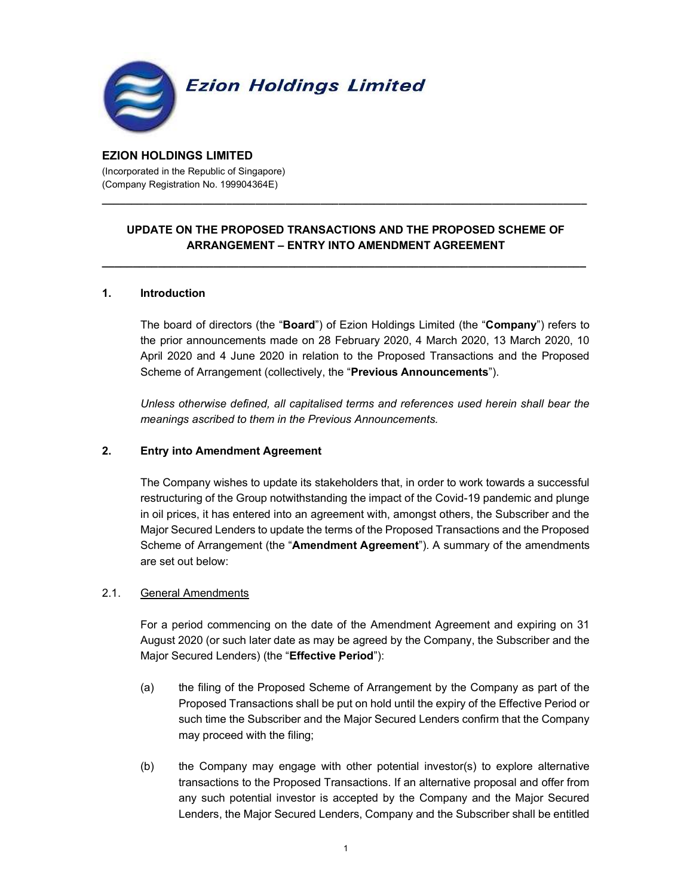

#### EZION HOLDINGS LIMITED (Incorporated in the Republic of Singapore) (Company Registration No. 199904364E)

# UPDATE ON THE PROPOSED TRANSACTIONS AND THE PROPOSED SCHEME OF ARRANGEMENT – ENTRY INTO AMENDMENT AGREEMENT

\_\_\_\_\_\_\_\_\_\_\_\_\_\_\_\_\_\_\_\_\_\_\_\_\_\_\_\_\_\_\_\_\_\_\_\_\_\_\_\_\_\_\_\_\_\_\_\_\_\_\_\_\_\_\_\_\_\_\_\_\_\_\_\_\_\_\_\_\_\_\_\_\_\_\_\_\_\_

\_\_\_\_\_\_\_\_\_\_\_\_\_\_\_\_\_\_\_\_\_\_\_\_\_\_\_\_\_\_\_\_\_\_\_\_\_\_\_\_\_\_\_\_\_\_\_\_\_\_\_\_\_\_\_\_\_\_\_\_\_\_\_\_\_\_\_\_\_\_\_\_\_\_\_\_\_\_\_\_\_\_

#### 1. Introduction

The board of directors (the "**Board**") of Ezion Holdings Limited (the "**Company**") refers to the prior announcements made on 28 February 2020, 4 March 2020, 13 March 2020, 10 April 2020 and 4 June 2020 in relation to the Proposed Transactions and the Proposed Scheme of Arrangement (collectively, the "Previous Announcements").

Unless otherwise defined, all capitalised terms and references used herein shall bear the meanings ascribed to them in the Previous Announcements.

# 2. Entry into Amendment Agreement

The Company wishes to update its stakeholders that, in order to work towards a successful restructuring of the Group notwithstanding the impact of the Covid-19 pandemic and plunge in oil prices, it has entered into an agreement with, amongst others, the Subscriber and the Major Secured Lenders to update the terms of the Proposed Transactions and the Proposed Scheme of Arrangement (the "**Amendment Agreement**"). A summary of the amendments are set out below:

#### 2.1. General Amendments

For a period commencing on the date of the Amendment Agreement and expiring on 31 August 2020 (or such later date as may be agreed by the Company, the Subscriber and the Major Secured Lenders) (the "Effective Period"):

- (a) the filing of the Proposed Scheme of Arrangement by the Company as part of the Proposed Transactions shall be put on hold until the expiry of the Effective Period or such time the Subscriber and the Major Secured Lenders confirm that the Company may proceed with the filing;
- (b) the Company may engage with other potential investor(s) to explore alternative transactions to the Proposed Transactions. If an alternative proposal and offer from any such potential investor is accepted by the Company and the Major Secured Lenders, the Major Secured Lenders, Company and the Subscriber shall be entitled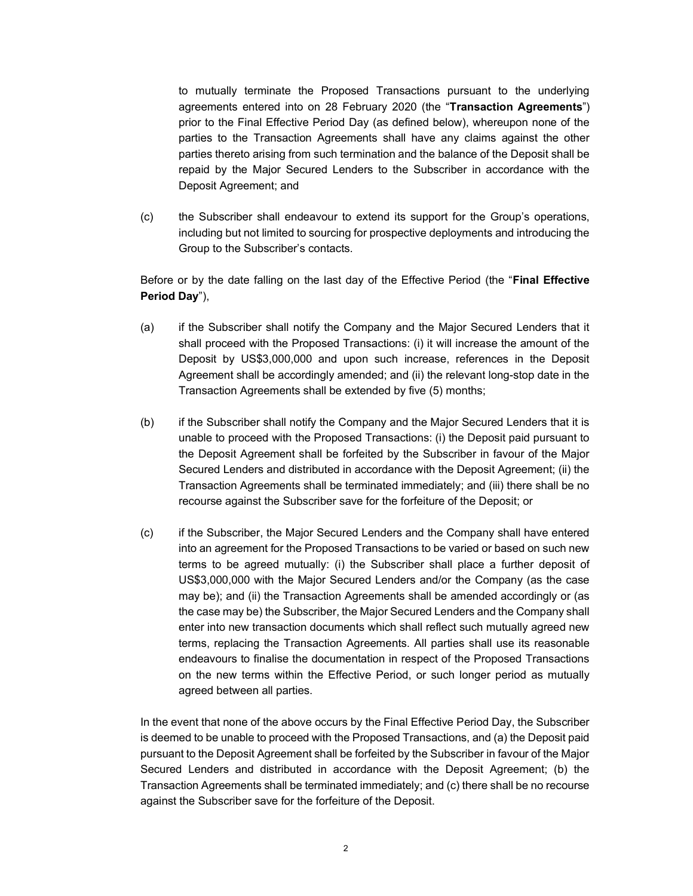to mutually terminate the Proposed Transactions pursuant to the underlying agreements entered into on 28 February 2020 (the "Transaction Agreements") prior to the Final Effective Period Day (as defined below), whereupon none of the parties to the Transaction Agreements shall have any claims against the other parties thereto arising from such termination and the balance of the Deposit shall be repaid by the Major Secured Lenders to the Subscriber in accordance with the Deposit Agreement; and

(c) the Subscriber shall endeavour to extend its support for the Group's operations, including but not limited to sourcing for prospective deployments and introducing the Group to the Subscriber's contacts.

Before or by the date falling on the last day of the Effective Period (the "Final Effective Period Day"),

- (a) if the Subscriber shall notify the Company and the Major Secured Lenders that it shall proceed with the Proposed Transactions: (i) it will increase the amount of the Deposit by US\$3,000,000 and upon such increase, references in the Deposit Agreement shall be accordingly amended; and (ii) the relevant long-stop date in the Transaction Agreements shall be extended by five (5) months;
- (b) if the Subscriber shall notify the Company and the Major Secured Lenders that it is unable to proceed with the Proposed Transactions: (i) the Deposit paid pursuant to the Deposit Agreement shall be forfeited by the Subscriber in favour of the Major Secured Lenders and distributed in accordance with the Deposit Agreement; (ii) the Transaction Agreements shall be terminated immediately; and (iii) there shall be no recourse against the Subscriber save for the forfeiture of the Deposit; or
- (c) if the Subscriber, the Major Secured Lenders and the Company shall have entered into an agreement for the Proposed Transactions to be varied or based on such new terms to be agreed mutually: (i) the Subscriber shall place a further deposit of US\$3,000,000 with the Major Secured Lenders and/or the Company (as the case may be); and (ii) the Transaction Agreements shall be amended accordingly or (as the case may be) the Subscriber, the Major Secured Lenders and the Company shall enter into new transaction documents which shall reflect such mutually agreed new terms, replacing the Transaction Agreements. All parties shall use its reasonable endeavours to finalise the documentation in respect of the Proposed Transactions on the new terms within the Effective Period, or such longer period as mutually agreed between all parties.

In the event that none of the above occurs by the Final Effective Period Day, the Subscriber is deemed to be unable to proceed with the Proposed Transactions, and (a) the Deposit paid pursuant to the Deposit Agreement shall be forfeited by the Subscriber in favour of the Major Secured Lenders and distributed in accordance with the Deposit Agreement; (b) the Transaction Agreements shall be terminated immediately; and (c) there shall be no recourse against the Subscriber save for the forfeiture of the Deposit.